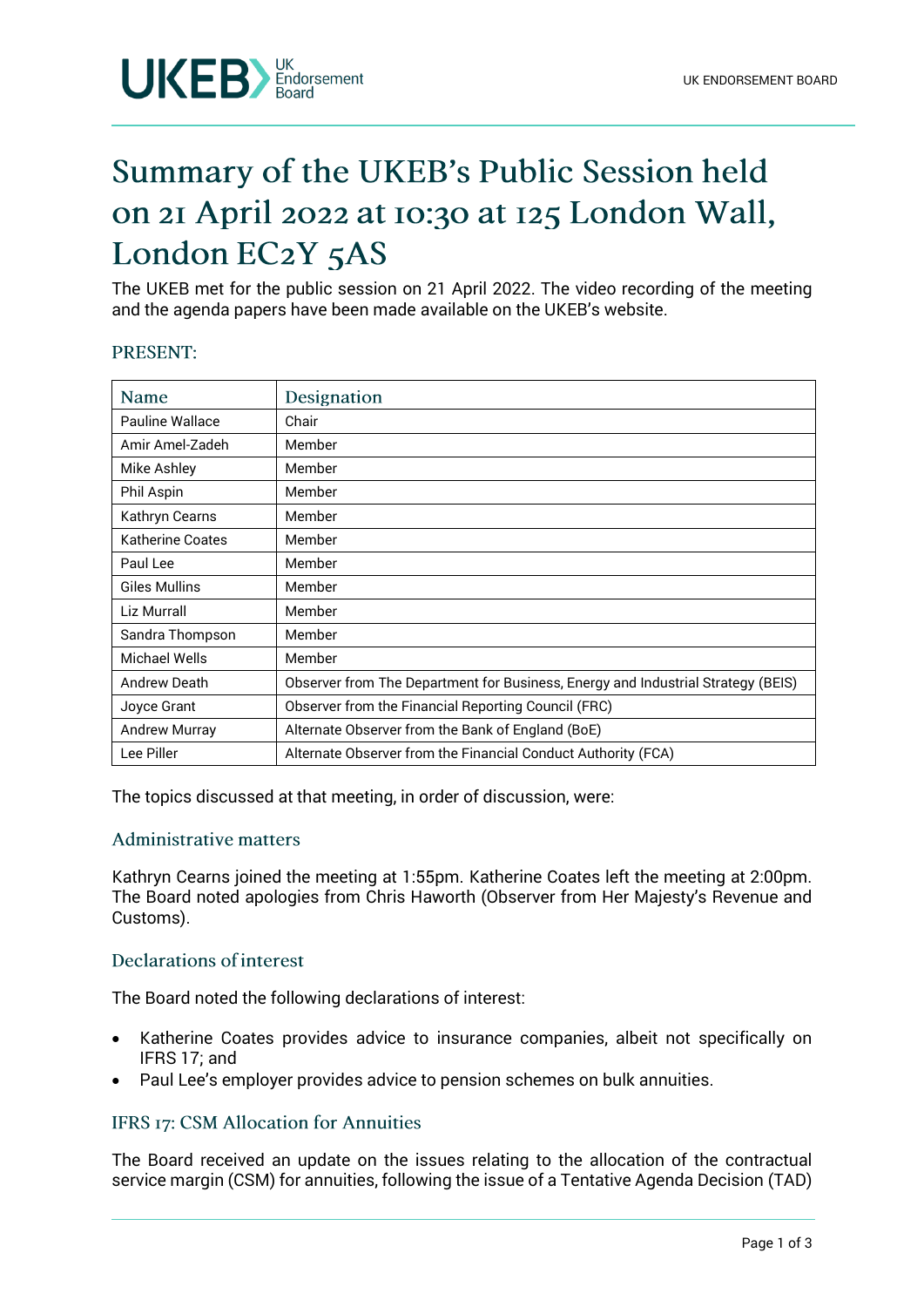

# Summary of the UKEB's Public Session held on 21 April 2022 at 10:30 at 125 London Wall, London EC2Y 5AS

The UKEB met for the public session on 21 April 2022. The video recording of the meeting and the agenda papers have been made available on the UKEB's website.

### PRESENT:

| Name                 | Designation                                                                      |
|----------------------|----------------------------------------------------------------------------------|
| Pauline Wallace      | Chair                                                                            |
| Amir Amel-Zadeh      | Member                                                                           |
| Mike Ashley          | Member                                                                           |
| Phil Aspin           | Member                                                                           |
| Kathryn Cearns       | Member                                                                           |
| Katherine Coates     | Member                                                                           |
| Paul Lee             | Member                                                                           |
| Giles Mullins        | Member                                                                           |
| Liz Murrall          | Member                                                                           |
| Sandra Thompson      | Member                                                                           |
| Michael Wells        | Member                                                                           |
| <b>Andrew Death</b>  | Observer from The Department for Business, Energy and Industrial Strategy (BEIS) |
| Joyce Grant          | Observer from the Financial Reporting Council (FRC)                              |
| <b>Andrew Murray</b> | Alternate Observer from the Bank of England (BoE)                                |
| Lee Piller           | Alternate Observer from the Financial Conduct Authority (FCA)                    |

The topics discussed at that meeting, in order of discussion, were:

### **Administrative matters**

Kathryn Cearns joined the meeting at 1:55pm. Katherine Coates left the meeting at 2:00pm. The Board noted apologies from Chris Haworth (Observer from Her Majesty's Revenue and Customs).

# Declarations of interest

The Board noted the following declarations of interest:

- Katherine Coates provides advice to insurance companies, albeit not specifically on IFRS 17; and
- Paul Lee's employer provides advice to pension schemes on bulk annuities.

## **IFRS 17: CSM Allocation for Annuities**

The Board received an update on the issues relating to the allocation of the contractual service margin (CSM) for annuities, following the issue of a Tentative Agenda Decision (TAD)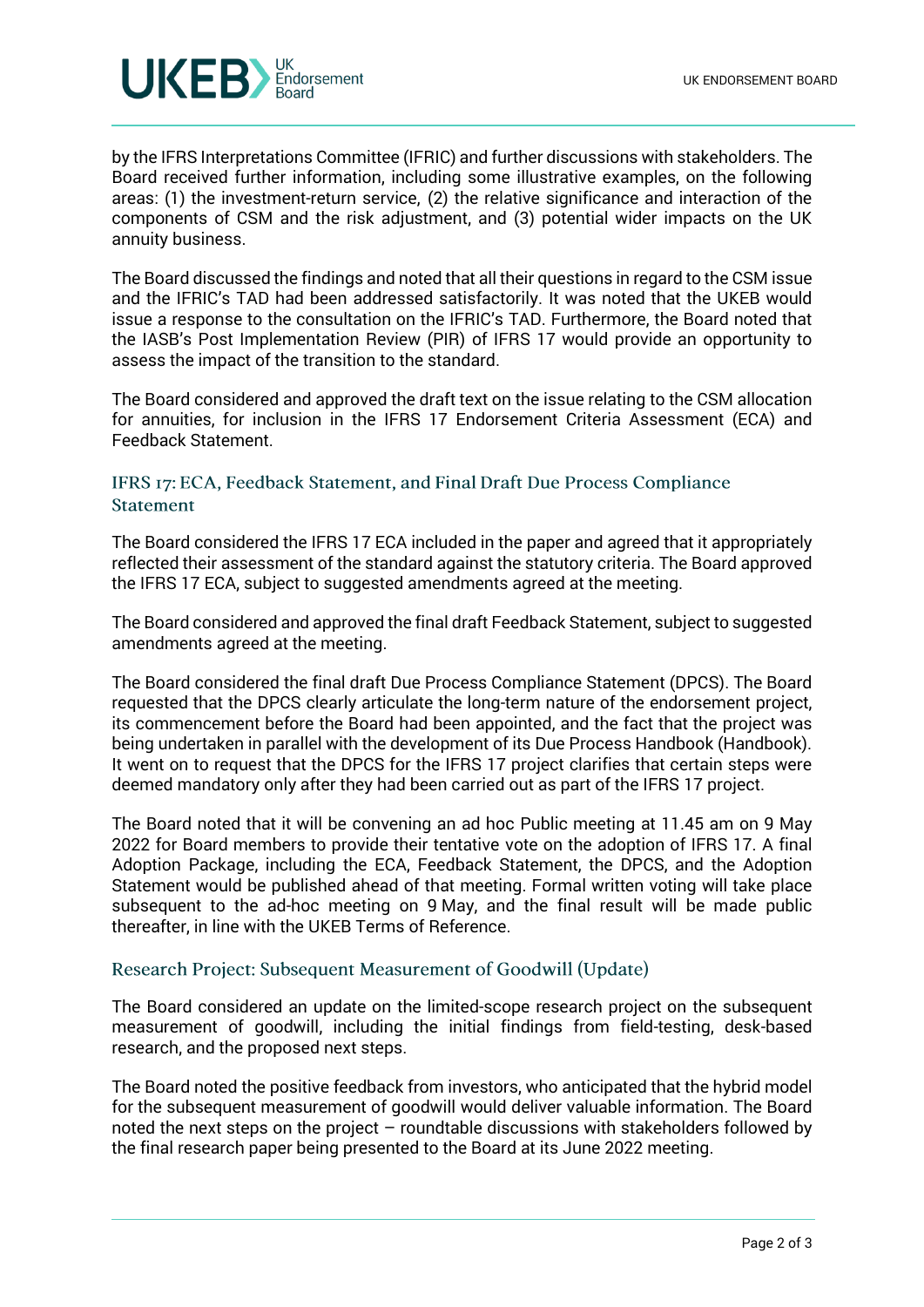

by the IFRS Interpretations Committee (IFRIC) and further discussions with stakeholders. The Board received further information, including some illustrative examples, on the following areas: (1) the investment-return service, (2) the relative significance and interaction of the components of CSM and the risk adjustment, and (3) potential wider impacts on the UK annuity business.

The Board discussed the findings and noted that all their questions in regard to the CSM issue and the IFRIC's TAD had been addressed satisfactorily. It was noted that the UKEB would issue a response to the consultation on the IFRIC's TAD. Furthermore, the Board noted that the IASB's Post Implementation Review (PIR) of IFRS 17 would provide an opportunity to assess the impact of the transition to the standard.

The Board considered and approved the draft text on the issue relating to the CSM allocation for annuities, for inclusion in the IFRS 17 Endorsement Criteria Assessment (ECA) and Feedback Statement.

# IFRS 17: ECA, Feedback Statement, and Final Draft Due Process Compliance **Statement**

The Board considered the IFRS 17 ECA included in the paper and agreed that it appropriately reflected their assessment of the standard against the statutory criteria. The Board approved the IFRS 17 ECA, subject to suggested amendments agreed at the meeting.

The Board considered and approved the final draft Feedback Statement, subject to suggested amendments agreed at the meeting.

The Board considered the final draft Due Process Compliance Statement (DPCS). The Board requested that the DPCS clearly articulate the long-term nature of the endorsement project, its commencement before the Board had been appointed, and the fact that the project was being undertaken in parallel with the development of its Due Process Handbook (Handbook). It went on to request that the DPCS for the IFRS 17 project clarifies that certain steps were deemed mandatory only after they had been carried out as part of the IFRS 17 project.

The Board noted that it will be convening an ad hoc Public meeting at 11.45 am on 9 May 2022 for Board members to provide their tentative vote on the adoption of IFRS 17. A final Adoption Package, including the ECA, Feedback Statement, the DPCS, and the Adoption Statement would be published ahead of that meeting. Formal written voting will take place subsequent to the ad-hoc meeting on 9 May, and the final result will be made public thereafter, in line with the UKEB Terms of Reference.

## Research Project: Subsequent Measurement of Goodwill (Update)

The Board considered an update on the limited-scope research project on the subsequent measurement of goodwill, including the initial findings from field-testing, desk-based research, and the proposed next steps.

The Board noted the positive feedback from investors, who anticipated that the hybrid model for the subsequent measurement of goodwill would deliver valuable information. The Board noted the next steps on the project – roundtable discussions with stakeholders followed by the final research paper being presented to the Board at its June 2022 meeting.